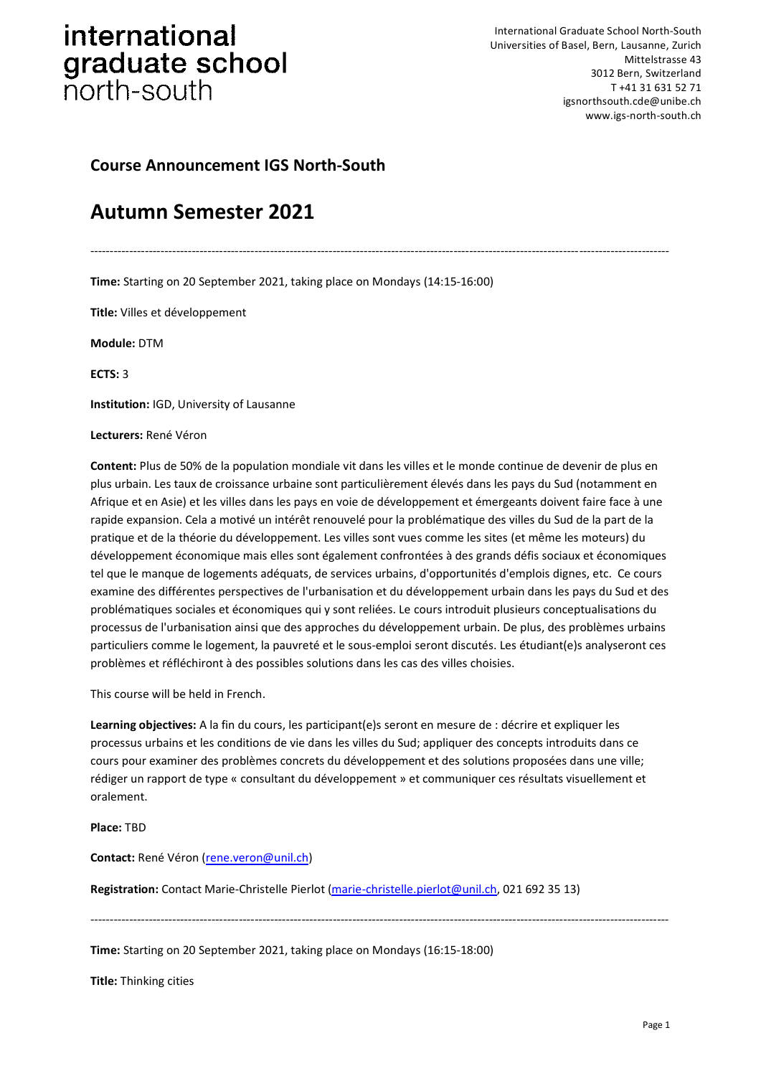International Graduate School North-South Universities of Basel, Bern, Lausanne, Zurich Mittelstrasse 43 3012 Bern, Switzerland T +41 31 631 52 71 igsnorthsouth.cde@unibe.ch www.igs-north-south.ch

### **Course Announcement IGS North-South**

### **Autumn Semester 2021**

----------------------------------------------------------------------------------------------------------------------------------------------------

**Time:** Starting on 20 September 2021, taking place on Mondays (14:15-16:00)

**Title:** Villes et développement

**Module:** DTM

**ECTS:** 3

**Institution:** IGD, University of Lausanne

#### **Lecturers:** René Véron

**Content:** Plus de 50% de la population mondiale vit dans les villes et le monde continue de devenir de plus en plus urbain. Les taux de croissance urbaine sont particulièrement élevés dans les pays du Sud (notamment en Afrique et en Asie) et les villes dans les pays en voie de développement et émergeants doivent faire face à une rapide expansion. Cela a motivé un intérêt renouvelé pour la problématique des villes du Sud de la part de la pratique et de la théorie du développement. Les villes sont vues comme les sites (et même les moteurs) du développement économique mais elles sont également confrontées à des grands défis sociaux et économiques tel que le manque de logements adéquats, de services urbains, d'opportunités d'emplois dignes, etc. Ce cours examine des différentes perspectives de l'urbanisation et du développement urbain dans les pays du Sud et des problématiques sociales et économiques qui y sont reliées. Le cours introduit plusieurs conceptualisations du processus de l'urbanisation ainsi que des approches du développement urbain. De plus, des problèmes urbains particuliers comme le logement, la pauvreté et le sous-emploi seront discutés. Les étudiant(e)s analyseront ces problèmes et réfléchiront à des possibles solutions dans les cas des villes choisies.

This course will be held in French.

**Learning objectives:** A la fin du cours, les participant(e)s seront en mesure de : décrire et expliquer les processus urbains et les conditions de vie dans les villes du Sud; appliquer des concepts introduits dans ce cours pour examiner des problèmes concrets du développement et des solutions proposées dans une ville; rédiger un rapport de type « consultant du développement » et communiquer ces résultats visuellement et oralement.

#### **Place:** TBD

**Contact:** René Véron [\(rene.veron@unil.ch\)](mailto:rene.veron@unil.ch)

**Registration:** Contact Marie-Christelle Pierlot [\(marie-christelle.pierlot@unil.ch,](mailto:marie-christelle.pierlot@unil.ch) 021 692 35 13)

*----------------------------------------------------------------------------------------------------------------------------------------------------*

**Time:** Starting on 20 September 2021, taking place on Mondays (16:15-18:00)

**Title:** Thinking cities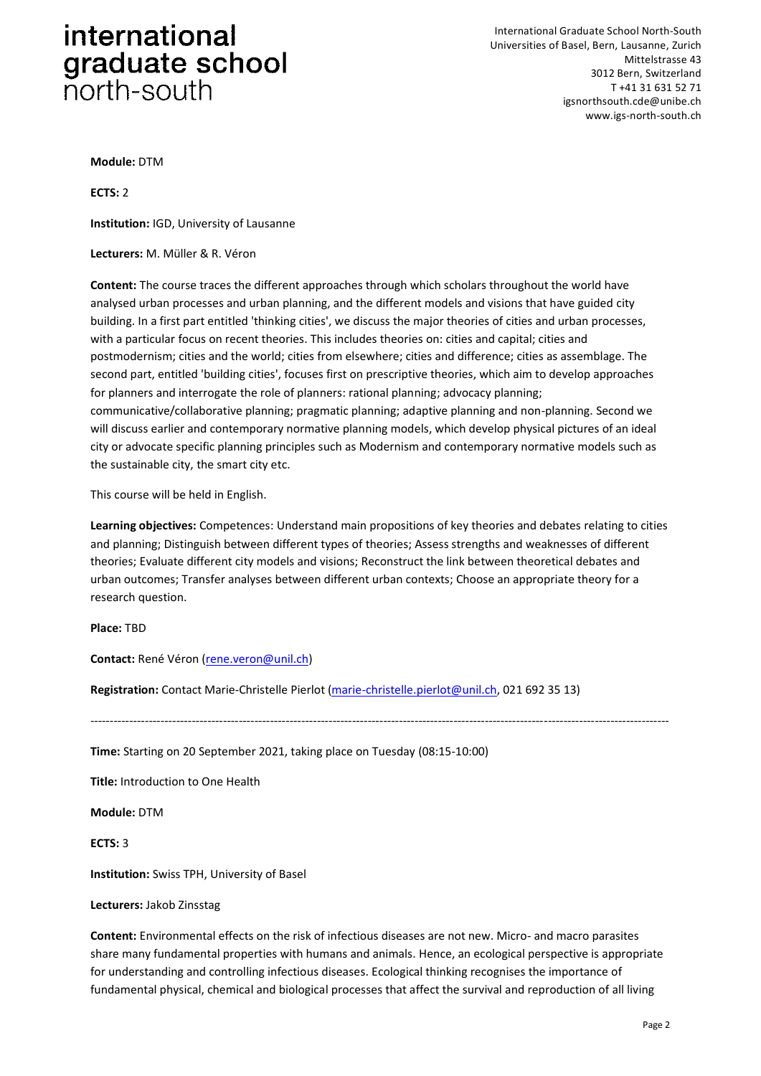International Graduate School North-South Universities of Basel, Bern, Lausanne, Zurich Mittelstrasse 43 3012 Bern, Switzerland T +41 31 631 52 71 igsnorthsouth.cde@unibe.ch www.igs-north-south.ch

**Module:** DTM

**ECTS:** 2

**Institution:** IGD, University of Lausanne

**Lecturers:** M. Müller & R. Véron

**Content:** The course traces the different approaches through which scholars throughout the world have analysed urban processes and urban planning, and the different models and visions that have guided city building. In a first part entitled 'thinking cities', we discuss the major theories of cities and urban processes, with a particular focus on recent theories. This includes theories on: cities and capital; cities and postmodernism; cities and the world; cities from elsewhere; cities and difference; cities as assemblage. The second part, entitled 'building cities', focuses first on prescriptive theories, which aim to develop approaches for planners and interrogate the role of planners: rational planning; advocacy planning; communicative/collaborative planning; pragmatic planning; adaptive planning and non-planning. Second we will discuss earlier and contemporary normative planning models, which develop physical pictures of an ideal city or advocate specific planning principles such as Modernism and contemporary normative models such as the sustainable city, the smart city etc.

This course will be held in English.

**Learning objectives:** Competences: Understand main propositions of key theories and debates relating to cities and planning; Distinguish between different types of theories; Assess strengths and weaknesses of different theories; Evaluate different city models and visions; Reconstruct the link between theoretical debates and urban outcomes; Transfer analyses between different urban contexts; Choose an appropriate theory for a research question.

----------------------------------------------------------------------------------------------------------------------------------------------------

**Place:** TBD

**Contact:** René Véron [\(rene.veron@unil.ch\)](mailto:rene.veron@unil.ch)

**Registration:** Contact Marie-Christelle Pierlot [\(marie-christelle.pierlot@unil.ch,](mailto:marie-christelle.pierlot@unil.ch) 021 692 35 13)

**Time:** Starting on 20 September 2021, taking place on Tuesday (08:15-10:00)

**Title:** Introduction to One Health

**Module:** DTM

**ECTS:** 3

**Institution:** Swiss TPH, University of Basel

**Lecturers:** Jakob Zinsstag

**Content:** Environmental effects on the risk of infectious diseases are not new. Micro- and macro parasites share many fundamental properties with humans and animals. Hence, an ecological perspective is appropriate for understanding and controlling infectious diseases. Ecological thinking recognises the importance of fundamental physical, chemical and biological processes that affect the survival and reproduction of all living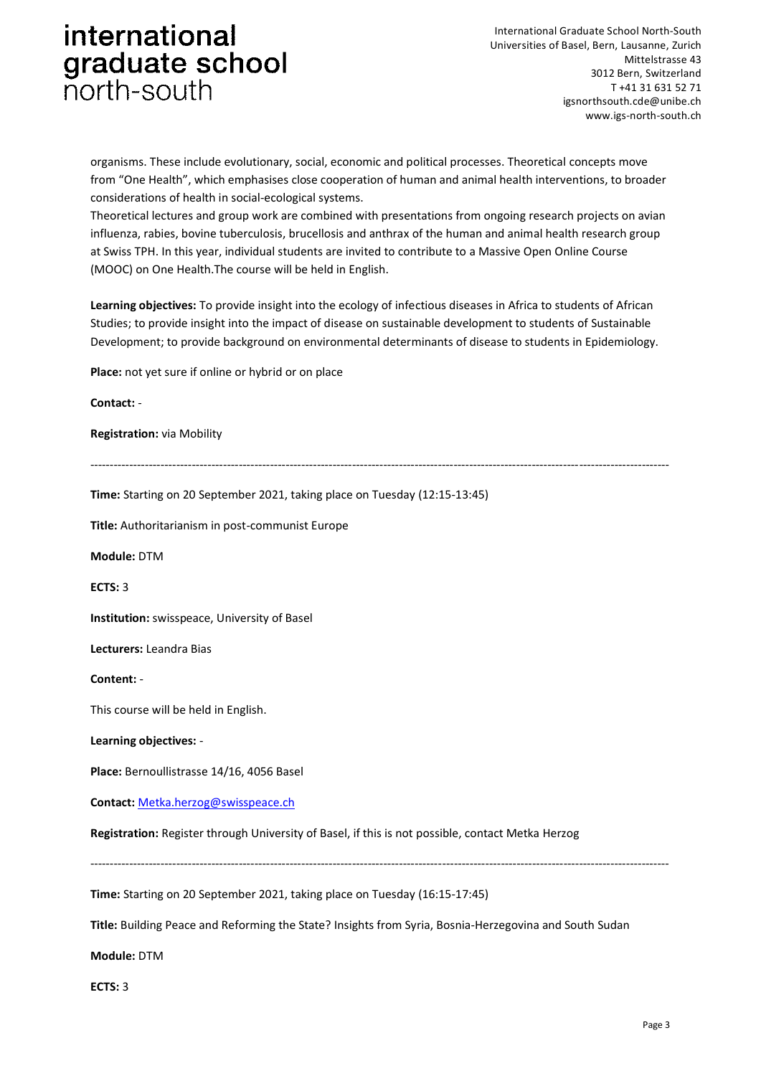International Graduate School North-South Universities of Basel, Bern, Lausanne, Zurich Mittelstrasse 43 3012 Bern, Switzerland T +41 31 631 52 71 igsnorthsouth.cde@unibe.ch www.igs-north-south.ch

organisms. These include evolutionary, social, economic and political processes. Theoretical concepts move from "One Health", which emphasises close cooperation of human and animal health interventions, to broader considerations of health in social-ecological systems.

Theoretical lectures and group work are combined with presentations from ongoing research projects on avian influenza, rabies, bovine tuberculosis, brucellosis and anthrax of the human and animal health research group at Swiss TPH. In this year, individual students are invited to contribute to a Massive Open Online Course (MOOC) on One Health.The course will be held in English.

**Learning objectives:** To provide insight into the ecology of infectious diseases in Africa to students of African Studies; to provide insight into the impact of disease on sustainable development to students of Sustainable Development; to provide background on environmental determinants of disease to students in Epidemiology.

**Place:** not yet sure if online or hybrid or on place

**Contact:** - **Registration:** via Mobility ---------------------------------------------------------------------------------------------------------------------------------------------------- **Time:** Starting on 20 September 2021, taking place on Tuesday (12:15-13:45) **Title:** Authoritarianism in post-communist Europe **Module:** DTM **ECTS:** 3 **Institution:** swisspeace, University of Basel **Lecturers:** Leandra Bias **Content:** - This course will be held in English. **Learning objectives:** - **Place:** Bernoullistrasse 14/16, 4056 Basel **Contact:** <Metka.herzog@swisspeace.ch> **Registration:** Register through University of Basel, if this is not possible, contact Metka Herzog ---------------------------------------------------------------------------------------------------------------------------------------------------- **Time:** Starting on 20 September 2021, taking place on Tuesday (16:15-17:45)

**Title:** Building Peace and Reforming the State? Insights from Syria, Bosnia-Herzegovina and South Sudan

**Module:** DTM

**ECTS:** 3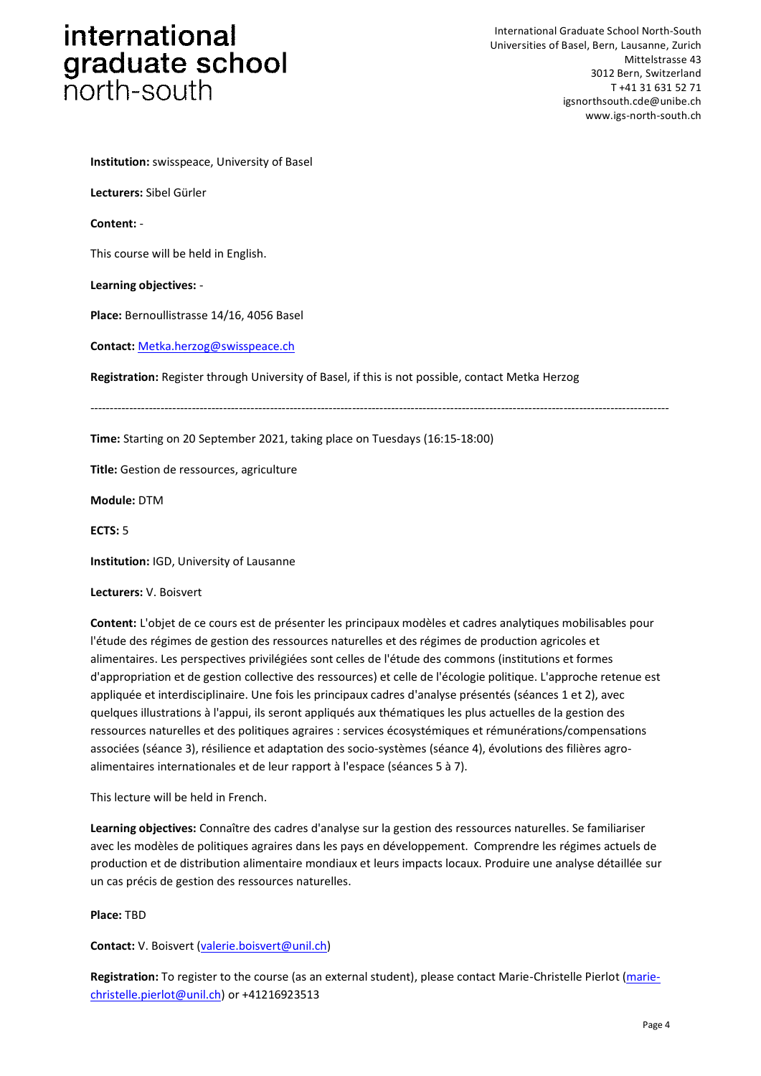International Graduate School North-South Universities of Basel, Bern, Lausanne, Zurich Mittelstrasse 43 3012 Bern, Switzerland T +41 31 631 52 71 igsnorthsouth.cde@unibe.ch www.igs-north-south.ch

**Institution:** swisspeace, University of Basel

**Lecturers:** Sibel Gürler

**Content:** -

This course will be held in English.

**Learning objectives:** -

**Place:** Bernoullistrasse 14/16, 4056 Basel

**Contact:** <Metka.herzog@swisspeace.ch>

**Registration:** Register through University of Basel, if this is not possible, contact Metka Herzog

*----------------------------------------------------------------------------------------------------------------------------------------------------*

**Time:** Starting on 20 September 2021, taking place on Tuesdays (16:15-18:00)

**Title:** Gestion de ressources, agriculture

**Module:** DTM

**ECTS:** 5

**Institution:** IGD, University of Lausanne

**Lecturers:** V. Boisvert

**Content:** L'objet de ce cours est de présenter les principaux modèles et cadres analytiques mobilisables pour l'étude des régimes de gestion des ressources naturelles et des régimes de production agricoles et alimentaires. Les perspectives privilégiées sont celles de l'étude des commons (institutions et formes d'appropriation et de gestion collective des ressources) et celle de l'écologie politique. L'approche retenue est appliquée et interdisciplinaire. Une fois les principaux cadres d'analyse présentés (séances 1 et 2), avec quelques illustrations à l'appui, ils seront appliqués aux thématiques les plus actuelles de la gestion des ressources naturelles et des politiques agraires : services écosystémiques et rémunérations/compensations associées (séance 3), résilience et adaptation des socio-systèmes (séance 4), évolutions des filières agroalimentaires internationales et de leur rapport à l'espace (séances 5 à 7).

This lecture will be held in French.

**Learning objectives:** Connaître des cadres d'analyse sur la gestion des ressources naturelles. Se familiariser avec les modèles de politiques agraires dans les pays en développement. Comprendre les régimes actuels de production et de distribution alimentaire mondiaux et leurs impacts locaux. Produire une analyse détaillée sur un cas précis de gestion des ressources naturelles.

#### **Place:** TBD

**Contact:** V. Boisvert [\(valerie.boisvert@unil.ch\)](mailto:valerie.boisvert@unil.ch)

**Registration:** To register to the course (as an external student), please contact Marie-Christelle Pierlot [\(marie](mailto:marie-christelle.pierlot@unil.ch)[christelle.pierlot@unil.ch\)](mailto:marie-christelle.pierlot@unil.ch) or +41216923513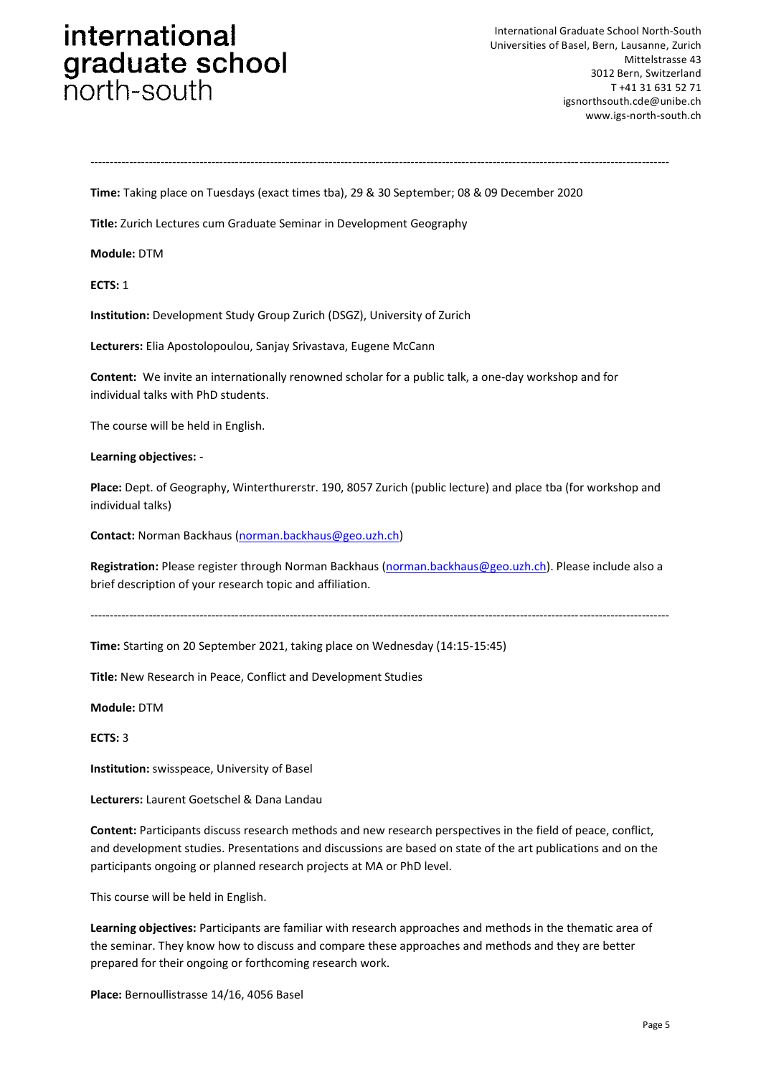International Graduate School North-South Universities of Basel, Bern, Lausanne, Zurich Mittelstrasse 43 3012 Bern, Switzerland T +41 31 631 52 71 igsnorthsouth.cde@unibe.ch www.igs-north-south.ch

*----------------------------------------------------------------------------------------------------------------------------------------------------*

**Time:** Taking place on Tuesdays (exact times tba), 29 & 30 September; 08 & 09 December 2020

**Title:** Zurich Lectures cum Graduate Seminar in Development Geography

**Module:** DTM

**ECTS:** 1

**Institution:** Development Study Group Zurich (DSGZ), University of Zurich

**Lecturers:** Elia Apostolopoulou, Sanjay Srivastava, Eugene McCann

**Content:** We invite an internationally renowned scholar for a public talk, a one-day workshop and for individual talks with PhD students.

The course will be held in English.

**Learning objectives:** -

**Place:** Dept. of Geography, Winterthurerstr. 190, 8057 Zurich (public lecture) and place tba (for workshop and individual talks)

**Contact:** Norman Backhaus [\(norman.backhaus@geo.uzh.ch\)](norman.backhaus@geo.uzh.ch)

**Registration:** Please register through Norman Backhaus [\(norman.backhaus@geo.uzh.ch\)](norman.backhaus@geo.uzh.ch). Please include also a brief description of your research topic and affiliation.

----------------------------------------------------------------------------------------------------------------------------------------------------

**Title:** New Research in Peace, Conflict and Development Studies

**Time:** Starting on 20 September 2021, taking place on Wednesday (14:15-15:45)

**Module:** DTM

**ECTS:** 3

**Institution:** swisspeace, University of Basel

**Lecturers:** Laurent Goetschel & Dana Landau

**Content:** Participants discuss research methods and new research perspectives in the field of peace, conflict, and development studies. Presentations and discussions are based on state of the art publications and on the participants ongoing or planned research projects at MA or PhD level.

This course will be held in English.

**Learning objectives:** Participants are familiar with research approaches and methods in the thematic area of the seminar. They know how to discuss and compare these approaches and methods and they are better prepared for their ongoing or forthcoming research work.

**Place:** Bernoullistrasse 14/16, 4056 Basel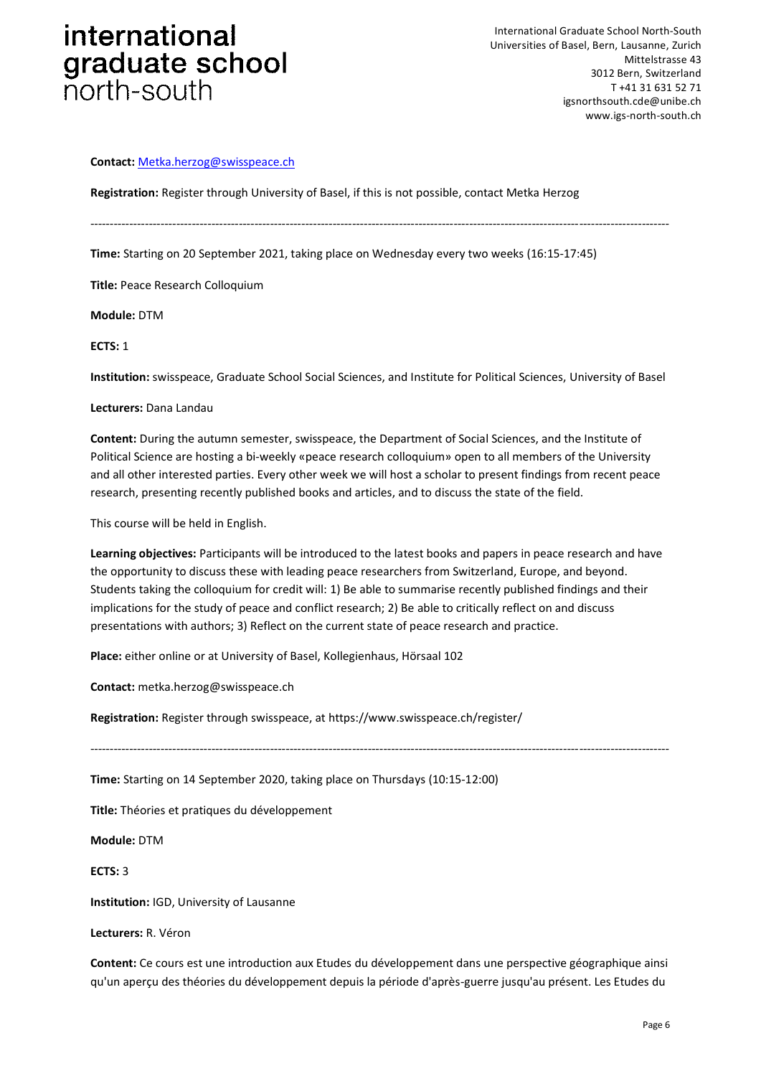# international graduate school

#### **Contact:** <Metka.herzog@swisspeace.ch>

**Registration:** Register through University of Basel, if this is not possible, contact Metka Herzog

**Time:** Starting on 20 September 2021, taking place on Wednesday every two weeks (16:15-17:45)

**Title:** Peace Research Colloquium

**Module:** DTM

**ECTS:** 1

**Institution:** swisspeace, Graduate School Social Sciences, and Institute for Political Sciences, University of Basel

*----------------------------------------------------------------------------------------------------------------------------------------------------*

#### **Lecturers:** Dana Landau

**Content:** During the autumn semester, swisspeace, the Department of Social Sciences, and the Institute of Political Science are hosting a bi-weekly «peace research colloquium» open to all members of the University and all other interested parties. Every other week we will host a scholar to present findings from recent peace research, presenting recently published books and articles, and to discuss the state of the field.

This course will be held in English.

**Learning objectives:** Participants will be introduced to the latest books and papers in peace research and have the opportunity to discuss these with leading peace researchers from Switzerland, Europe, and beyond. Students taking the colloquium for credit will: 1) Be able to summarise recently published findings and their implications for the study of peace and conflict research; 2) Be able to critically reflect on and discuss presentations with authors; 3) Reflect on the current state of peace research and practice.

*----------------------------------------------------------------------------------------------------------------------------------------------------*

**Place:** either online or at University of Basel, Kollegienhaus, Hörsaal 102

**Contact:** metka.herzog@swisspeace.ch

**Registration:** Register through swisspeace, at https://www.swisspeace.ch/register/

**Time:** Starting on 14 September 2020, taking place on Thursdays (10:15-12:00)

**Title:** Théories et pratiques du développement

**Module:** DTM

**ECTS:** 3

**Institution:** IGD, University of Lausanne

**Lecturers:** R. Véron

**Content:** Ce cours est une introduction aux Etudes du développement dans une perspective géographique ainsi qu'un aperçu des théories du développement depuis la période d'après-guerre jusqu'au présent. Les Etudes du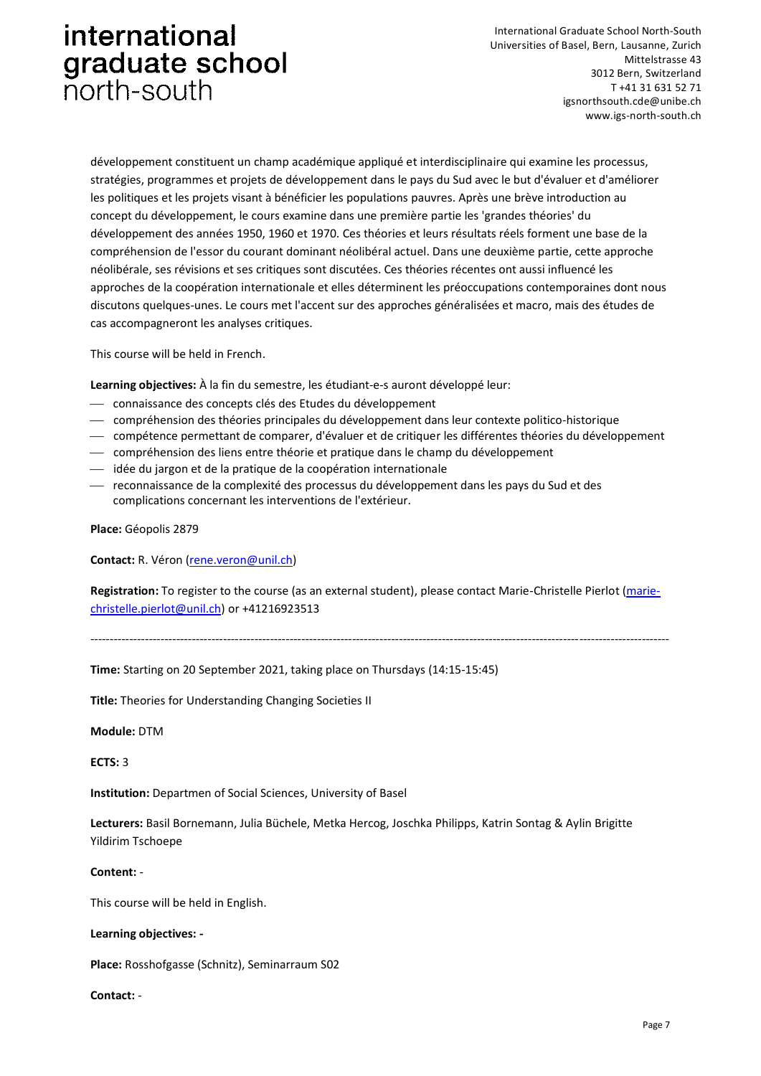International Graduate School North-South Universities of Basel, Bern, Lausanne, Zurich Mittelstrasse 43 3012 Bern, Switzerland T +41 31 631 52 71 igsnorthsouth.cde@unibe.ch www.igs-north-south.ch

développement constituent un champ académique appliqué et interdisciplinaire qui examine les processus, stratégies, programmes et projets de développement dans le pays du Sud avec le but d'évaluer et d'améliorer les politiques et les projets visant à bénéficier les populations pauvres. Après une brève introduction au concept du développement, le cours examine dans une première partie les 'grandes théories' du développement des années 1950, 1960 et 1970. Ces théories et leurs résultats réels forment une base de la compréhension de l'essor du courant dominant néolibéral actuel. Dans une deuxième partie, cette approche néolibérale, ses révisions et ses critiques sont discutées. Ces théories récentes ont aussi influencé les approches de la coopération internationale et elles déterminent les préoccupations contemporaines dont nous discutons quelques-unes. Le cours met l'accent sur des approches généralisées et macro, mais des études de cas accompagneront les analyses critiques.

This course will be held in French.

**Learning objectives:** À la fin du semestre, les étudiant-e-s auront développé leur:

- ⎯ connaissance des concepts clés des Etudes du développement
- ⎯ compréhension des théories principales du développement dans leur contexte politico-historique
- ⎯ compétence permettant de comparer, d'évaluer et de critiquer les différentes théories du développement
- ⎯ compréhension des liens entre théorie et pratique dans le champ du développement
- $-$  idée du jargon et de la pratique de la coopération internationale
- ⎯ reconnaissance de la complexité des processus du développement dans les pays du Sud et des complications concernant les interventions de l'extérieur.

**Place:** Géopolis 2879

**Contact:** R. Véron [\(rene.veron@unil.ch\)](mailto:rene.veron@unil.ch)

**Registration:** To register to the course (as an external student), please contact Marie-Christelle Pierlot [\(marie](mailto:marie-christelle.pierlot@unil.ch)[christelle.pierlot@unil.ch\)](mailto:marie-christelle.pierlot@unil.ch) or +41216923513

*----------------------------------------------------------------------------------------------------------------------------------------------------*

**Time:** Starting on 20 September 2021, taking place on Thursdays (14:15-15:45)

**Title:** Theories for Understanding Changing Societies II

**Module:** DTM

**ECTS:** 3

**Institution:** Departmen of Social Sciences, University of Basel

**Lecturers:** Basil Bornemann, Julia Büchele, Metka Hercog, Joschka Philipps, Katrin Sontag & Aylin Brigitte Yildirim Tschoepe

#### **Content:** -

This course will be held in English.

#### **Learning objectives: -**

**Place:** Rosshofgasse (Schnitz), Seminarraum S02

**Contact:** -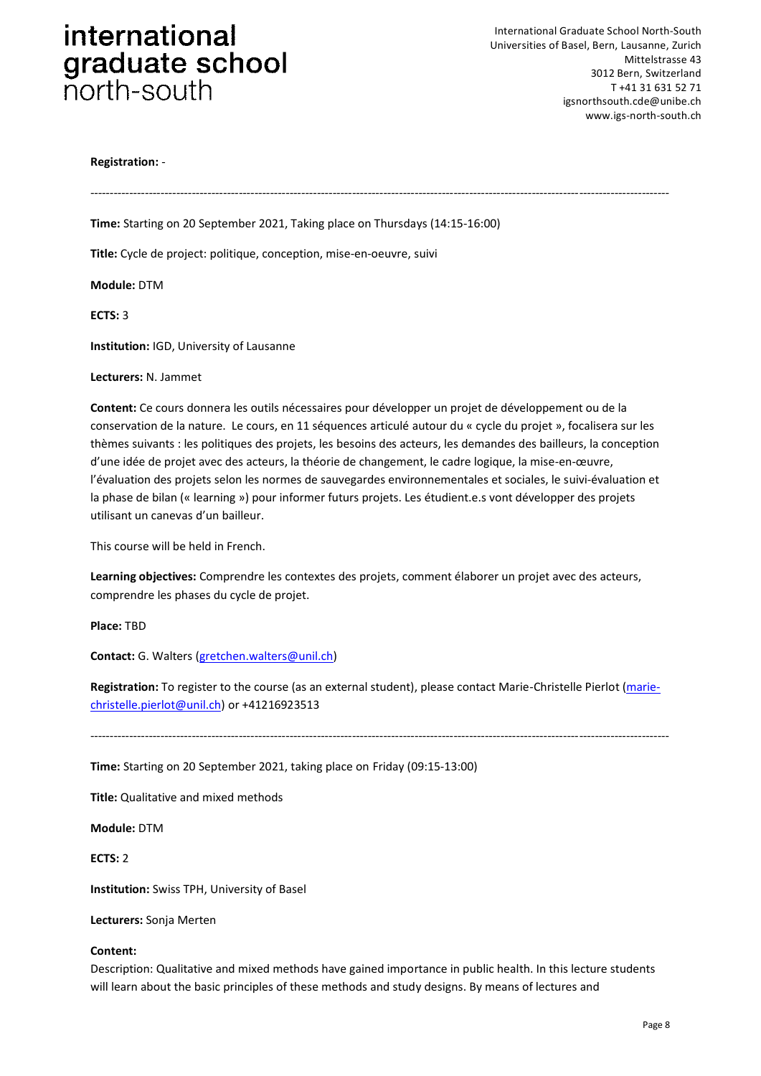#### **Registration:** -

*----------------------------------------------------------------------------------------------------------------------------------------------------*

**Time:** Starting on 20 September 2021, Taking place on Thursdays (14:15-16:00)

**Title:** Cycle de project: politique, conception, mise-en-oeuvre, suivi

**Module:** DTM

**ECTS:** 3

**Institution:** IGD, University of Lausanne

#### **Lecturers:** N. Jammet

**Content:** Ce cours donnera les outils nécessaires pour développer un projet de développement ou de la conservation de la nature. Le cours, en 11 séquences articulé autour du « cycle du projet », focalisera sur les thèmes suivants : les politiques des projets, les besoins des acteurs, les demandes des bailleurs, la conception d'une idée de projet avec des acteurs, la théorie de changement, le cadre logique, la mise-en-œuvre, l'évaluation des projets selon les normes de sauvegardes environnementales et sociales, le suivi-évaluation et la phase de bilan (« learning ») pour informer futurs projets. Les étudient.e.s vont développer des projets utilisant un canevas d'un bailleur.

This course will be held in French.

**Learning objectives:** Comprendre les contextes des projets, comment élaborer un projet avec des acteurs, comprendre les phases du cycle de projet.

**Place:** TBD

**Contact:** G. Walters [\(gretchen.walters@unil.ch\)](mailto:gretchen.walters@unil.ch)

**Registration:** To register to the course (as an external student), please contact Marie-Christelle Pierlot [\(marie](mailto:marie-christelle.pierlot@unil.ch)[christelle.pierlot@unil.ch\)](mailto:marie-christelle.pierlot@unil.ch) or +41216923513

----------------------------------------------------------------------------------------------------------------------------------------------------

**Time:** Starting on 20 September 2021, taking place on Friday (09:15-13:00)

**Title:** Qualitative and mixed methods

**Module:** DTM

**ECTS:** 2

**Institution:** Swiss TPH, University of Basel

**Lecturers:** Sonja Merten

#### **Content:**

Description: Qualitative and mixed methods have gained importance in public health. In this lecture students will learn about the basic principles of these methods and study designs. By means of lectures and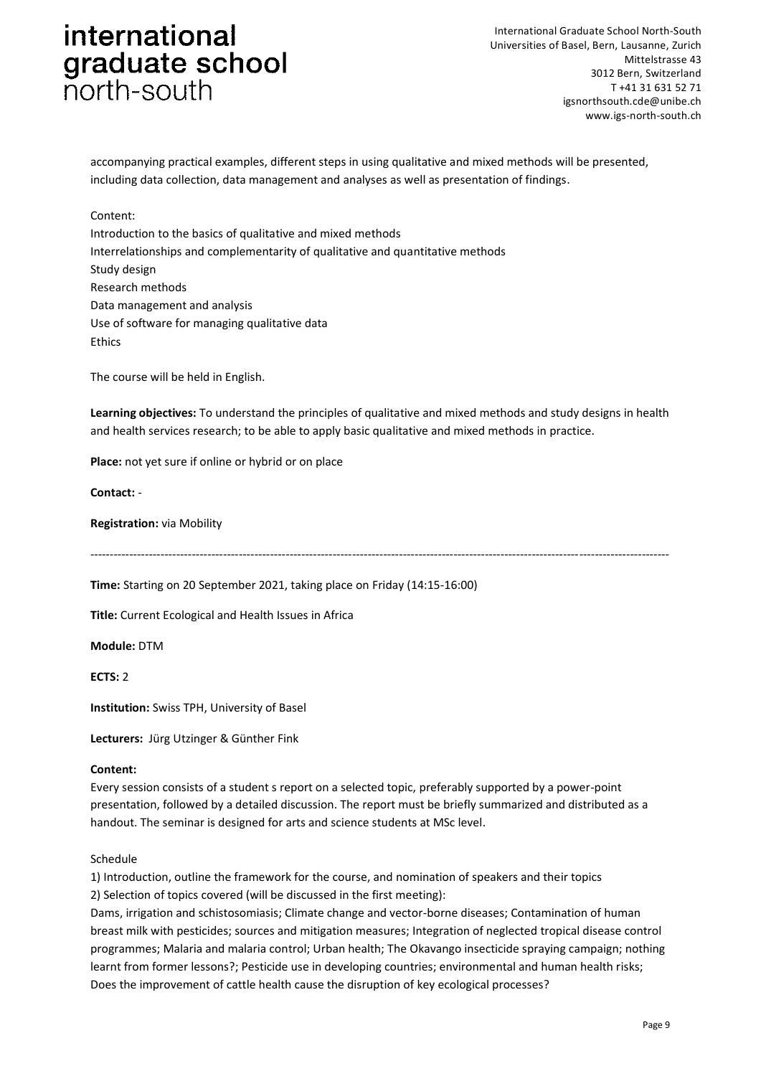International Graduate School North-South Universities of Basel, Bern, Lausanne, Zurich Mittelstrasse 43 3012 Bern, Switzerland T +41 31 631 52 71 igsnorthsouth.cde@unibe.ch www.igs-north-south.ch

accompanying practical examples, different steps in using qualitative and mixed methods will be presented, including data collection, data management and analyses as well as presentation of findings.

#### Content:

Introduction to the basics of qualitative and mixed methods Interrelationships and complementarity of qualitative and quantitative methods Study design Research methods Data management and analysis Use of software for managing qualitative data Ethics

The course will be held in English.

**Learning objectives:** To understand the principles of qualitative and mixed methods and study designs in health and health services research; to be able to apply basic qualitative and mixed methods in practice.

----------------------------------------------------------------------------------------------------------------------------------------------------

**Place:** not yet sure if online or hybrid or on place

#### **Contact:** -

#### **Registration:** via Mobility

**Time:** Starting on 20 September 2021, taking place on Friday (14:15-16:00)

**Title:** Current Ecological and Health Issues in Africa

**Module:** DTM

**ECTS:** 2

**Institution:** Swiss TPH, University of Basel

**Lecturers:** Jürg Utzinger & Günther Fink

#### **Content:**

Every session consists of a student s report on a selected topic, preferably supported by a power-point presentation, followed by a detailed discussion. The report must be briefly summarized and distributed as a handout. The seminar is designed for arts and science students at MSc level.

#### Schedule

1) Introduction, outline the framework for the course, and nomination of speakers and their topics 2) Selection of topics covered (will be discussed in the first meeting):

Dams, irrigation and schistosomiasis; Climate change and vector-borne diseases; Contamination of human breast milk with pesticides; sources and mitigation measures; Integration of neglected tropical disease control programmes; Malaria and malaria control; Urban health; The Okavango insecticide spraying campaign; nothing learnt from former lessons?; Pesticide use in developing countries; environmental and human health risks; Does the improvement of cattle health cause the disruption of key ecological processes?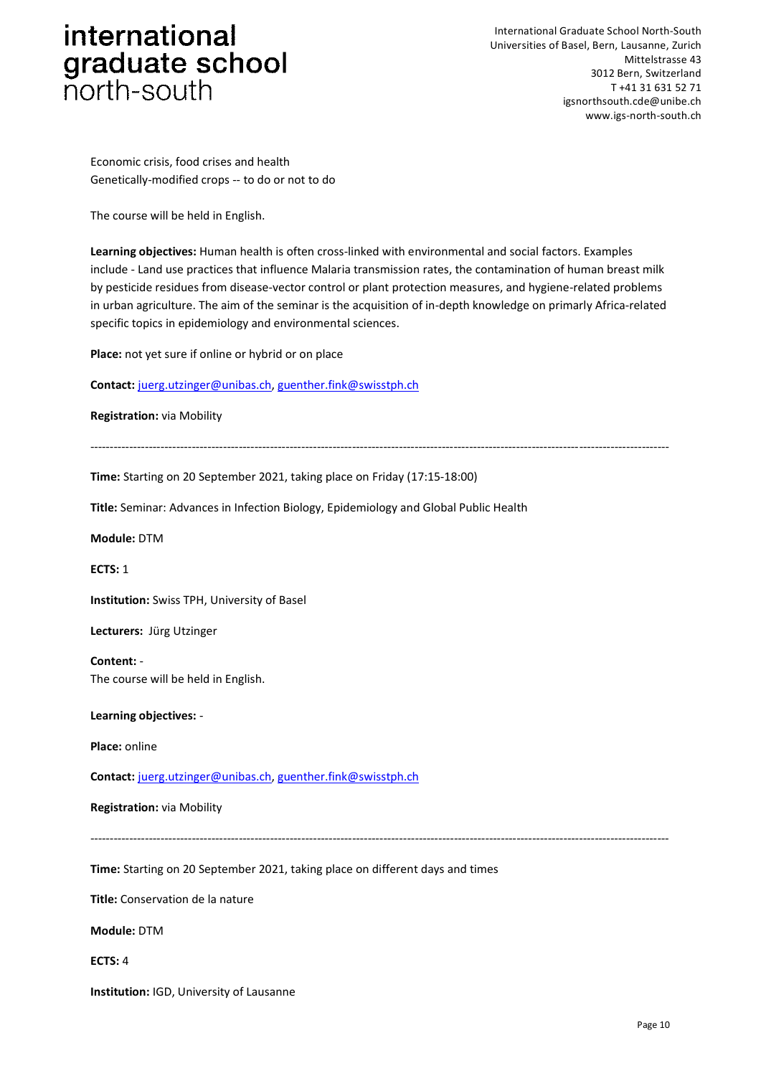International Graduate School North-South Universities of Basel, Bern, Lausanne, Zurich Mittelstrasse 43 3012 Bern, Switzerland T +41 31 631 52 71 igsnorthsouth.cde@unibe.ch www.igs-north-south.ch

Economic crisis, food crises and health Genetically-modified crops -- to do or not to do

The course will be held in English.

**Learning objectives:** Human health is often cross-linked with environmental and social factors. Examples include - Land use practices that influence Malaria transmission rates, the contamination of human breast milk by pesticide residues from disease-vector control or plant protection measures, and hygiene-related problems in urban agriculture. The aim of the seminar is the acquisition of in-depth knowledge on primarly Africa-related specific topics in epidemiology and environmental sciences.

**Place:** not yet sure if online or hybrid or on place

**Contact:** [juerg.utzinger@unibas.ch,](mailto:juerg.utzinger@unibas.ch) [guenther.fink@swisstph.ch](mailto:guenther.fink@swisstph.ch)

**Registration:** via Mobility

----------------------------------------------------------------------------------------------------------------------------------------------------

**Time:** Starting on 20 September 2021, taking place on Friday (17:15-18:00)

**Title:** Seminar: Advances in Infection Biology, Epidemiology and Global Public Health

**Module:** DTM

**ECTS:** 1

**Institution:** Swiss TPH, University of Basel

**Lecturers:** Jürg Utzinger

**Content:** - The course will be held in English.

**Learning objectives:** -

**Place:** online

**Contact:** [juerg.utzinger@unibas.ch,](mailto:juerg.utzinger@unibas.ch) [guenther.fink@swisstph.ch](mailto:guenther.fink@swisstph.ch)

**Registration:** via Mobility

*----------------------------------------------------------------------------------------------------------------------------------------------------*

**Time:** Starting on 20 September 2021, taking place on different days and times

**Title:** Conservation de la nature

**Module:** DTM

**ECTS:** 4

**Institution:** IGD, University of Lausanne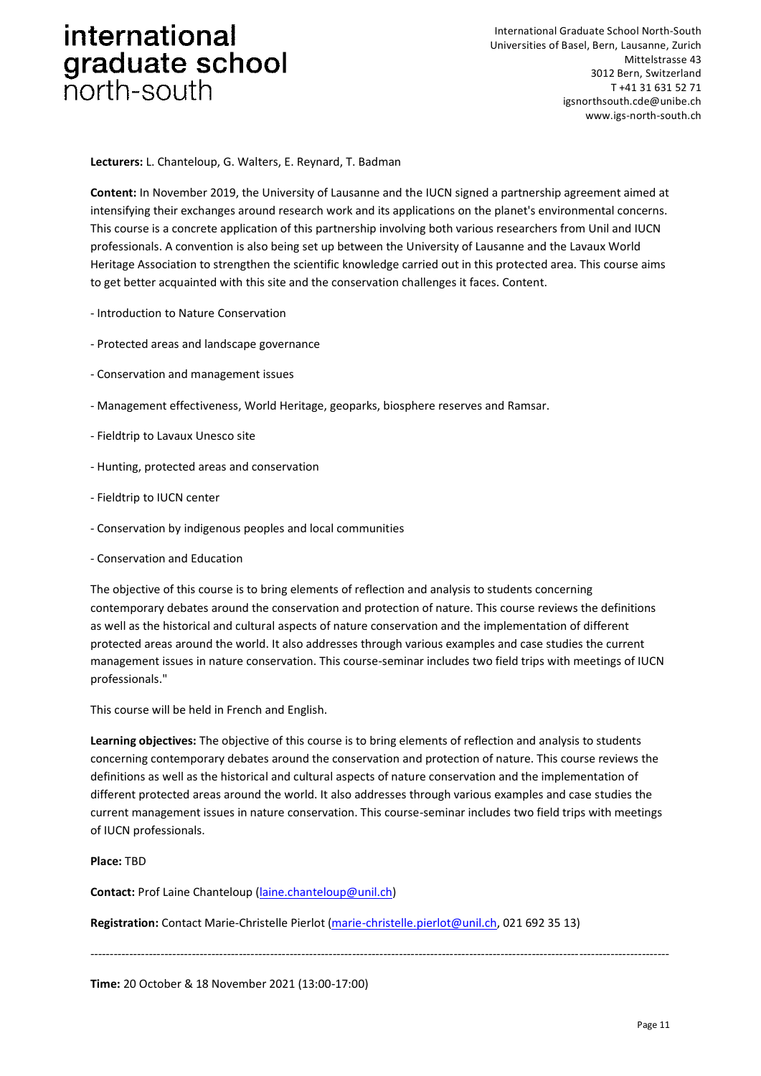International Graduate School North-South Universities of Basel, Bern, Lausanne, Zurich Mittelstrasse 43 3012 Bern, Switzerland T +41 31 631 52 71 igsnorthsouth.cde@unibe.ch www.igs-north-south.ch

**Lecturers:** L. Chanteloup, G. Walters, E. Reynard, T. Badman

**Content:** In November 2019, the University of Lausanne and the IUCN signed a partnership agreement aimed at intensifying their exchanges around research work and its applications on the planet's environmental concerns. This course is a concrete application of this partnership involving both various researchers from Unil and IUCN professionals. A convention is also being set up between the University of Lausanne and the Lavaux World Heritage Association to strengthen the scientific knowledge carried out in this protected area. This course aims to get better acquainted with this site and the conservation challenges it faces. Content.

- Introduction to Nature Conservation
- Protected areas and landscape governance
- Conservation and management issues
- Management effectiveness, World Heritage, geoparks, biosphere reserves and Ramsar.
- Fieldtrip to Lavaux Unesco site
- Hunting, protected areas and conservation
- Fieldtrip to IUCN center
- Conservation by indigenous peoples and local communities
- Conservation and Education

The objective of this course is to bring elements of reflection and analysis to students concerning contemporary debates around the conservation and protection of nature. This course reviews the definitions as well as the historical and cultural aspects of nature conservation and the implementation of different protected areas around the world. It also addresses through various examples and case studies the current management issues in nature conservation. This course-seminar includes two field trips with meetings of IUCN professionals."

This course will be held in French and English.

**Learning objectives:** The objective of this course is to bring elements of reflection and analysis to students concerning contemporary debates around the conservation and protection of nature. This course reviews the definitions as well as the historical and cultural aspects of nature conservation and the implementation of different protected areas around the world. It also addresses through various examples and case studies the current management issues in nature conservation. This course-seminar includes two field trips with meetings of IUCN professionals.

*----------------------------------------------------------------------------------------------------------------------------------------------------*

**Place:** TBD

**Contact:** Prof Laine Chanteloup [\(laine.chanteloup@unil.ch\)](laine.chanteloup@unil.ch)

**Registration:** Contact Marie-Christelle Pierlot [\(marie-christelle.pierlot@unil.ch,](mailto:marie-christelle.pierlot@unil.ch) 021 692 35 13)

**Time:** 20 October & 18 November 2021 (13:00-17:00)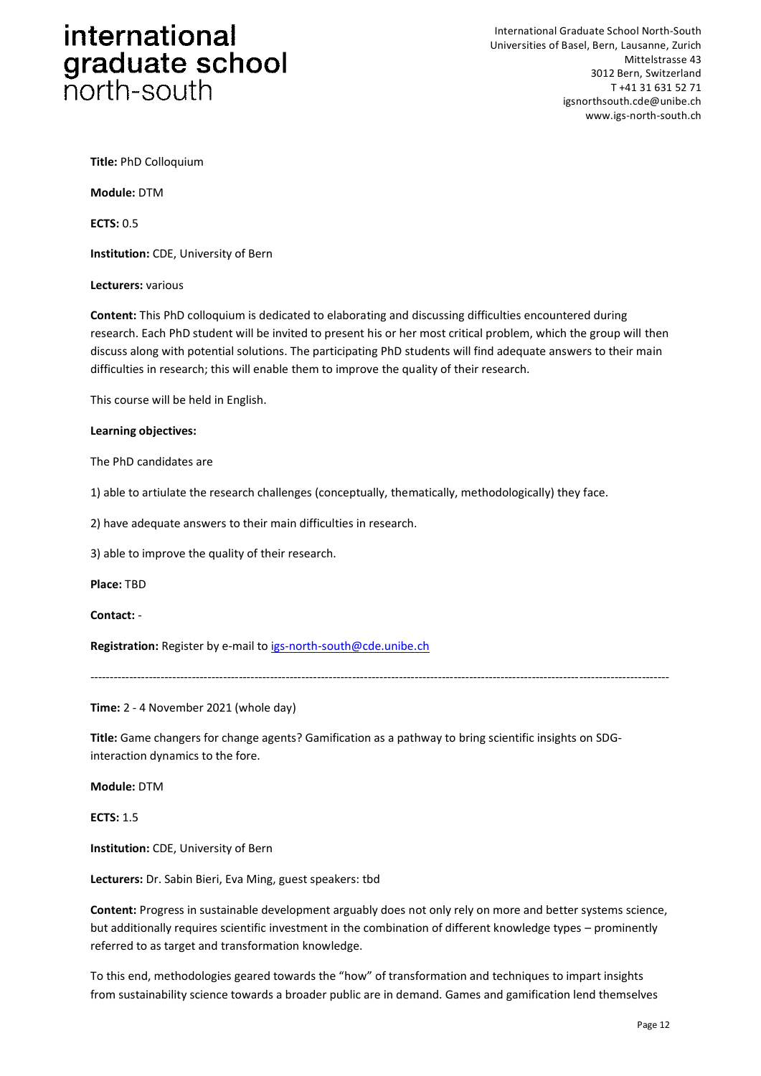International Graduate School North-South Universities of Basel, Bern, Lausanne, Zurich Mittelstrasse 43 3012 Bern, Switzerland T +41 31 631 52 71 igsnorthsouth.cde@unibe.ch www.igs-north-south.ch

**Title:** PhD Colloquium

**Module:** DTM

**ECTS:** 0.5

**Institution:** CDE, University of Bern

**Lecturers:** various

**Content:** This PhD colloquium is dedicated to elaborating and discussing difficulties encountered during research. Each PhD student will be invited to present his or her most critical problem, which the group will then discuss along with potential solutions. The participating PhD students will find adequate answers to their main difficulties in research; this will enable them to improve the quality of their research.

This course will be held in English.

#### **Learning objectives:**

The PhD candidates are

1) able to artiulate the research challenges (conceptually, thematically, methodologically) they face.

2) have adequate answers to their main difficulties in research.

3) able to improve the quality of their research.

**Place:** TBD

**Contact:** -

**Registration:** Register by e-mail to [igs-north-south@cde.unibe.ch](mailto:igs-north-south@cde.unibe.ch)

*----------------------------------------------------------------------------------------------------------------------------------------------------*

**Time:** 2 - 4 November 2021 (whole day)

**Title:** Game changers for change agents? Gamification as a pathway to bring scientific insights on SDGinteraction dynamics to the fore.

**Module:** DTM

**ECTS:** 1.5

**Institution:** CDE, University of Bern

**Lecturers:** Dr. Sabin Bieri, Eva Ming, guest speakers: tbd

**Content:** Progress in sustainable development arguably does not only rely on more and better systems science, but additionally requires scientific investment in the combination of different knowledge types – prominently referred to as target and transformation knowledge.

To this end, methodologies geared towards the "how" of transformation and techniques to impart insights from sustainability science towards a broader public are in demand. Games and gamification lend themselves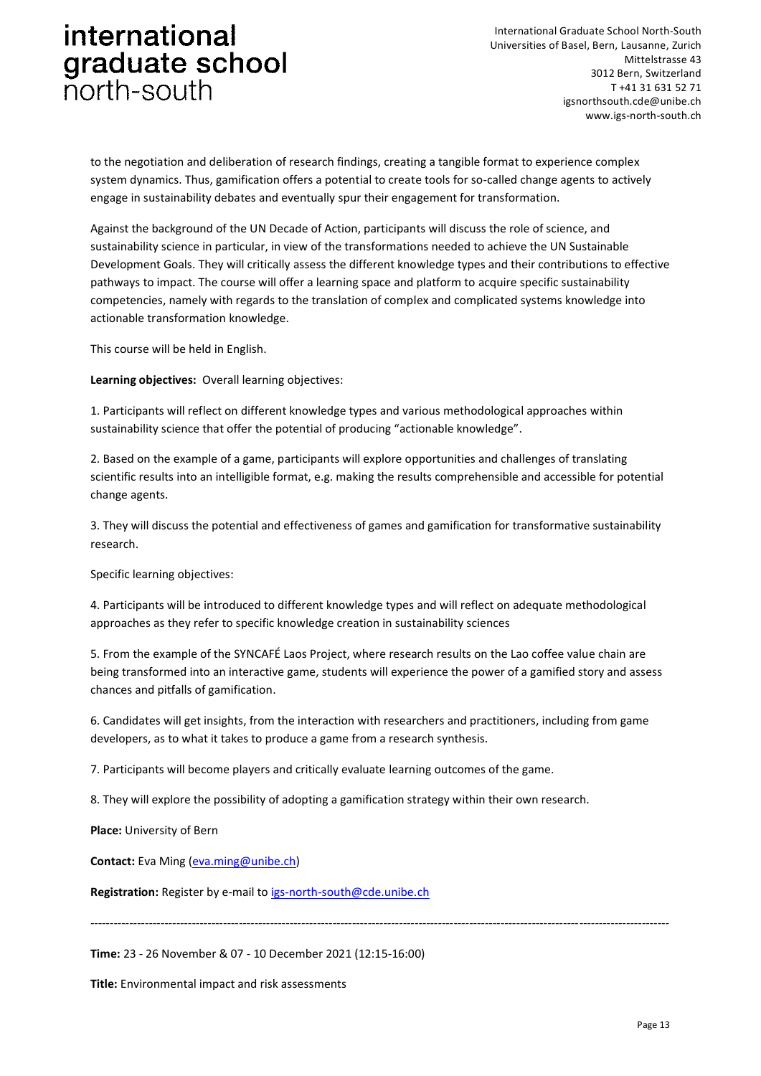International Graduate School North-South Universities of Basel, Bern, Lausanne, Zurich Mittelstrasse 43 3012 Bern, Switzerland T +41 31 631 52 71 igsnorthsouth.cde@unibe.ch www.igs-north-south.ch

to the negotiation and deliberation of research findings, creating a tangible format to experience complex system dynamics. Thus, gamification offers a potential to create tools for so-called change agents to actively engage in sustainability debates and eventually spur their engagement for transformation.

Against the background of the UN Decade of Action, participants will discuss the role of science, and sustainability science in particular, in view of the transformations needed to achieve the UN Sustainable Development Goals. They will critically assess the different knowledge types and their contributions to effective pathways to impact. The course will offer a learning space and platform to acquire specific sustainability competencies, namely with regards to the translation of complex and complicated systems knowledge into actionable transformation knowledge.

This course will be held in English.

**Learning objectives:** Overall learning objectives:

1. Participants will reflect on different knowledge types and various methodological approaches within sustainability science that offer the potential of producing "actionable knowledge".

2. Based on the example of a game, participants will explore opportunities and challenges of translating scientific results into an intelligible format, e.g. making the results comprehensible and accessible for potential change agents.

3. They will discuss the potential and effectiveness of games and gamification for transformative sustainability research.

Specific learning objectives:

4. Participants will be introduced to different knowledge types and will reflect on adequate methodological approaches as they refer to specific knowledge creation in sustainability sciences

5. From the example of the SYNCAFÉ Laos Project, where research results on the Lao coffee value chain are being transformed into an interactive game, students will experience the power of a gamified story and assess chances and pitfalls of gamification.

6. Candidates will get insights, from the interaction with researchers and practitioners, including from game developers, as to what it takes to produce a game from a research synthesis.

7. Participants will become players and critically evaluate learning outcomes of the game.

8. They will explore the possibility of adopting a gamification strategy within their own research.

**Place:** University of Bern

**Contact:** Eva Ming [\(eva.ming@unibe.ch\)](eva.ming@unibe.ch)

**Registration:** Register by e-mail to [igs-north-south@cde.unibe.ch](mailto:igs-north-south@cde.unibe.ch)

*----------------------------------------------------------------------------------------------------------------------------------------------------*

**Time:** 23 - 26 November & 07 - 10 December 2021 (12:15-16:00)

**Title:** Environmental impact and risk assessments